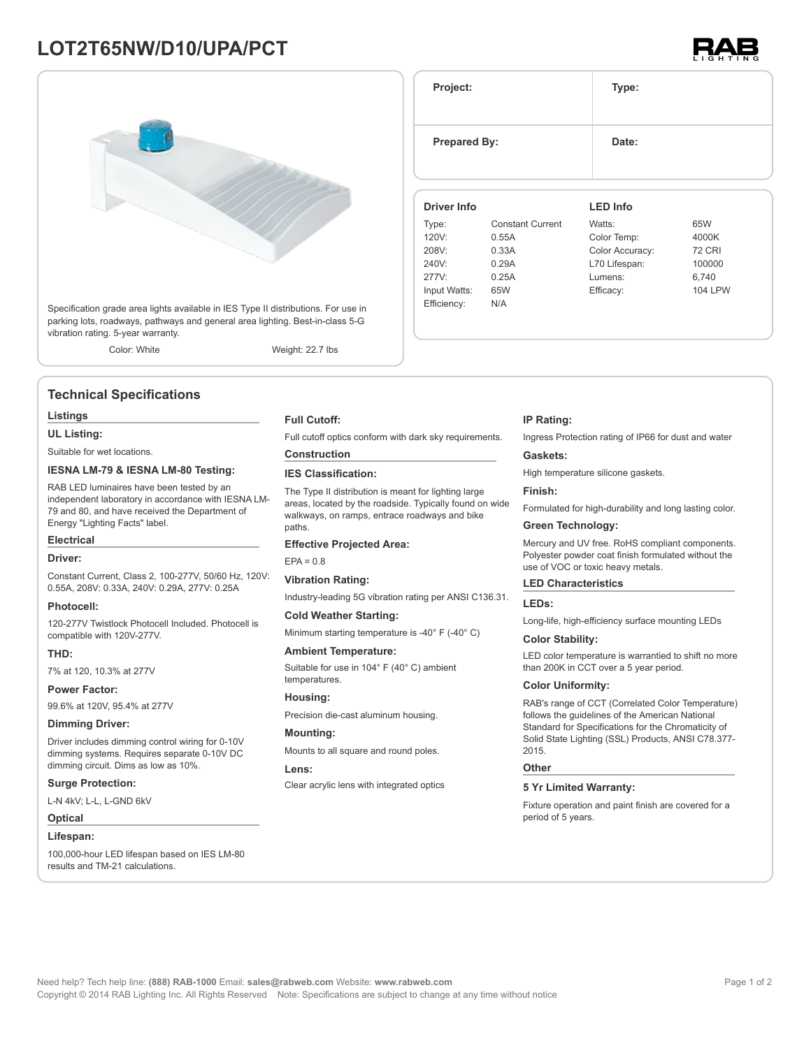# **LOT2T65NW/D10/UPA/PCT**



Specification grade area lights available in IES Type II distributions. For use in parking lots, roadways, pathways and general area lighting. Best-in-class 5-G vibration rating. 5-year warranty.

Color: White Weight: 22.7 lbs

## **Technical Specifications**

#### **Listings**

**UL Listing:**

Suitable for wet locations.

## **IESNA LM-79 & IESNA LM-80 Testing:**

RAB LED luminaires have been tested by an independent laboratory in accordance with IESNA LM-79 and 80, and have received the Department of Energy "Lighting Facts" label.

## **Electrical**

#### **Driver:**

Constant Current, Class 2, 100-277V, 50/60 Hz, 120V: 0.55A, 208V: 0.33A, 240V: 0.29A, 277V: 0.25A

### **Photocell:**

120-277V Twistlock Photocell Included. Photocell is compatible with 120V-277V.

#### **THD:**

7% at 120, 10.3% at 277V

**Power Factor:**

99.6% at 120V, 95.4% at 277V

#### **Dimming Driver:**

Driver includes dimming control wiring for 0-10V dimming systems. Requires separate 0-10V DC dimming circuit. Dims as low as 10%.

#### **Surge Protection:**

L-N 4kV; L-L, L-GND 6kV

**Optical**

#### **Lifespan:**

100,000-hour LED lifespan based on IES LM-80 results and TM-21 calculations.

### **Full Cutoff:**

Full cutoff optics conform with dark sky requirements.

## **Construction**

## **IES Classification:**

The Type II distribution is meant for lighting large areas, located by the roadside. Typically found on wide walkways, on ramps, entrace roadways and bike paths

#### **Effective Projected Area:**

 $FPA = 0.8$ 

#### **Vibration Rating:**

Industry-leading 5G vibration rating per ANSI C136.31.

#### **Cold Weather Starting:**

Minimum starting temperature is -40° F (-40° C)

#### **Ambient Temperature:**

Suitable for use in 104° F (40° C) ambient temperatures.

**Housing:**

Precision die-cast aluminum housing.

### **Mounting:**

Mounts to all square and round poles.

#### **Lens:**

Clear acrylic lens with integrated optics

#### **IP Rating:**

Ingress Protection rating of IP66 for dust and water

### **Gaskets:**

High temperature silicone gaskets.

#### **Finish:**

Formulated for high-durability and long lasting color.

## **Green Technology:**

Mercury and UV free. RoHS compliant components. Polyester powder coat finish formulated without the use of VOC or toxic heavy metals.

## **LED Characteristics**

#### **LEDs:**

Long-life, high-efficiency surface mounting LEDs

#### **Color Stability:**

LED color temperature is warrantied to shift no more than 200K in CCT over a 5 year period.

#### **Color Uniformity:**

RAB's range of CCT (Correlated Color Temperature) follows the guidelines of the American National Standard for Specifications for the Chromaticity of Solid State Lighting (SSL) Products, ANSI C78.377- 2015.

#### **Other**

## **5 Yr Limited Warranty:**

Fixture operation and paint finish are covered for a period of 5 years.



| Project:            |                         | Type:           |                |  |  |
|---------------------|-------------------------|-----------------|----------------|--|--|
| <b>Prepared By:</b> |                         | Date:           |                |  |  |
| <b>Driver Info</b>  |                         | <b>LED Info</b> |                |  |  |
| Type:               | <b>Constant Current</b> | Watts:          | 65W            |  |  |
| 120V:               | 0.55A                   | Color Temp:     | 4000K          |  |  |
| 208V:               | 0.33A                   | Color Accuracy: | <b>72 CRI</b>  |  |  |
| 240V:               | 0.29A                   | L70 Lifespan:   | 100000         |  |  |
| 277V:               | 0.25A                   | Lumens:         | 6,740          |  |  |
| Input Watts:        | 65W                     | Efficacy:       | <b>104 LPW</b> |  |  |
| Efficiency:         | N/A                     |                 |                |  |  |